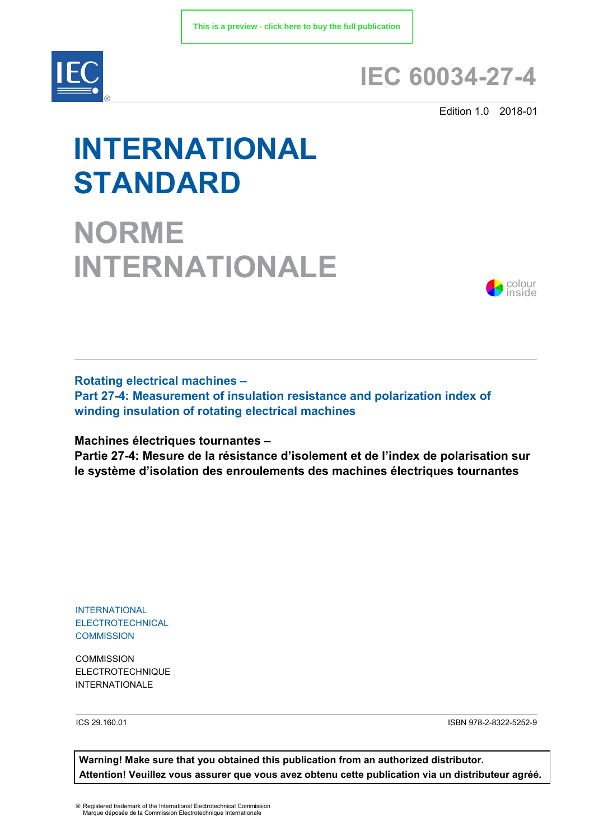

# **IEC 60034-27-4**

Edition 1.0 2018-01

# **INTERNATIONAL STANDARD**

**NORME INTERNATIONALE**



**Rotating electrical machines –**

**Part 27-4: Measurement of insulation resistance and polarization index of winding insulation of rotating electrical machines**

**Machines électriques tournantes –** 

**Partie 27-4: Mesure de la résistance d'isolement et de l'index de polarisation sur le système d'isolation des enroulements des machines électriques tournantes**

INTERNATIONAL **ELECTROTECHNICAL COMMISSION** 

**COMMISSION** ELECTROTECHNIQUE INTERNATIONALE

ICS 29.160.01 ISBN 978-2-8322-5252-9

**Warning! Make sure that you obtained this publication from an authorized distributor. Attention! Veuillez vous assurer que vous avez obtenu cette publication via un distributeur agréé.**

® Registered trademark of the International Electrotechnical Commission Marque déposée de la Commission Electrotechnique Internationale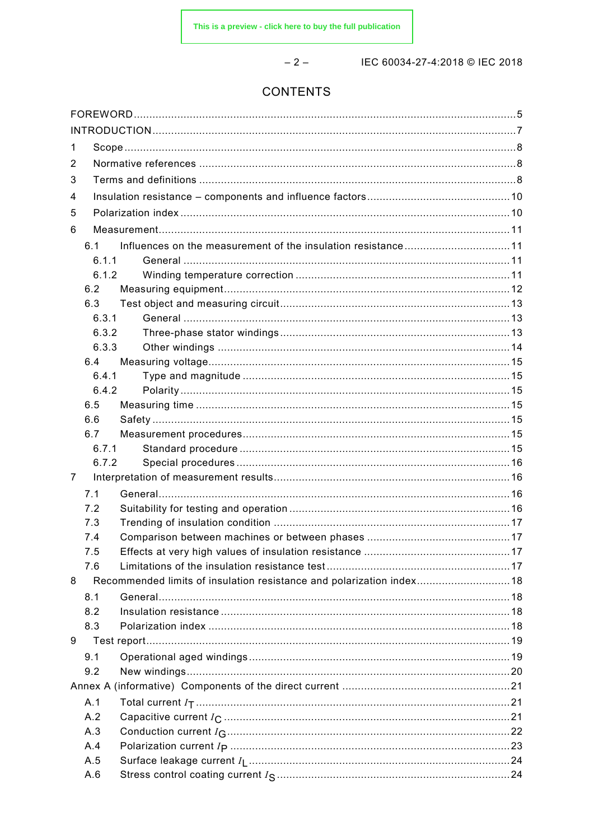$-2-$ 

IEC 60034-27-4:2018 © IEC 2018

# **CONTENTS**

| 1 |                |                                                                      |  |
|---|----------------|----------------------------------------------------------------------|--|
| 2 |                |                                                                      |  |
| 3 |                |                                                                      |  |
| 4 |                |                                                                      |  |
| 5 |                |                                                                      |  |
| 6 |                |                                                                      |  |
|   |                |                                                                      |  |
|   | 6.1            |                                                                      |  |
|   | 6.1.1<br>6.1.2 |                                                                      |  |
|   | 6.2            |                                                                      |  |
|   | 6.3            |                                                                      |  |
|   | 6.3.1          |                                                                      |  |
|   | 6.3.2          |                                                                      |  |
|   | 6.3.3          |                                                                      |  |
|   | 6.4            |                                                                      |  |
|   | 6.4.1          |                                                                      |  |
|   | 6.4.2          |                                                                      |  |
|   | 6.5            |                                                                      |  |
|   | 6.6            |                                                                      |  |
|   | 6.7            |                                                                      |  |
|   | 6.7.1          |                                                                      |  |
|   | 6.7.2          |                                                                      |  |
| 7 |                |                                                                      |  |
|   | 7.1            |                                                                      |  |
|   | 7.2            |                                                                      |  |
|   | 7.3            |                                                                      |  |
|   | 7.4            |                                                                      |  |
|   | 7.5            |                                                                      |  |
|   | 7.6            |                                                                      |  |
| 8 |                | Recommended limits of insulation resistance and polarization index18 |  |
|   | 8.1            |                                                                      |  |
|   | 8.2            |                                                                      |  |
|   | 8.3            |                                                                      |  |
| 9 |                |                                                                      |  |
|   | 9.1            |                                                                      |  |
|   | 9.2            |                                                                      |  |
|   |                |                                                                      |  |
|   | A.1            |                                                                      |  |
|   | A.2            |                                                                      |  |
|   | A.3            |                                                                      |  |
|   | A.4            |                                                                      |  |
|   | A.5            |                                                                      |  |
|   | A.6            |                                                                      |  |
|   |                |                                                                      |  |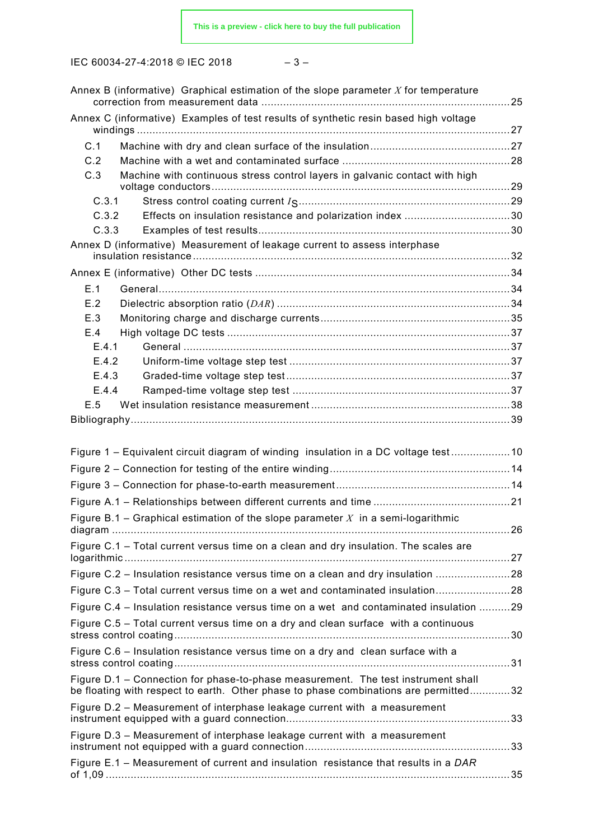IEC 60034-27-4:2018 © IEC 2018

$$
-3-
$$

| Annex B (informative) Graphical estimation of the slope parameter $X$ for temperature                                                                                     |  |
|---------------------------------------------------------------------------------------------------------------------------------------------------------------------------|--|
| Annex C (informative) Examples of test results of synthetic resin based high voltage                                                                                      |  |
| C.1                                                                                                                                                                       |  |
| C.2                                                                                                                                                                       |  |
| C.3<br>Machine with continuous stress control layers in galvanic contact with high                                                                                        |  |
|                                                                                                                                                                           |  |
| C.3.1                                                                                                                                                                     |  |
| C.3.2<br>Effects on insulation resistance and polarization index 30                                                                                                       |  |
| C.3.3                                                                                                                                                                     |  |
| Annex D (informative) Measurement of leakage current to assess interphase                                                                                                 |  |
|                                                                                                                                                                           |  |
| E.1                                                                                                                                                                       |  |
| E.2                                                                                                                                                                       |  |
| E.3                                                                                                                                                                       |  |
| E.4                                                                                                                                                                       |  |
| E.4.1                                                                                                                                                                     |  |
| E.4.2                                                                                                                                                                     |  |
| E.4.3                                                                                                                                                                     |  |
| E.4.4                                                                                                                                                                     |  |
| E.5                                                                                                                                                                       |  |
|                                                                                                                                                                           |  |
|                                                                                                                                                                           |  |
| Figure 1 – Equivalent circuit diagram of winding insulation in a DC voltage test10                                                                                        |  |
|                                                                                                                                                                           |  |
|                                                                                                                                                                           |  |
|                                                                                                                                                                           |  |
| Figure B.1 – Graphical estimation of the slope parameter X in a semi-logarithmic                                                                                          |  |
| Figure C.1 - Total current versus time on a clean and dry insulation. The scales are                                                                                      |  |
|                                                                                                                                                                           |  |
| Figure C.2 – Insulation resistance versus time on a clean and dry insulation 28                                                                                           |  |
| Figure C.3 – Total current versus time on a wet and contaminated insulation28                                                                                             |  |
| Figure C.4 – Insulation resistance versus time on a wet and contaminated insulation 29                                                                                    |  |
| Figure C.5 - Total current versus time on a dry and clean surface with a continuous                                                                                       |  |
| Figure C.6 - Insulation resistance versus time on a dry and clean surface with a                                                                                          |  |
| Figure D.1 - Connection for phase-to-phase measurement. The test instrument shall<br>be floating with respect to earth. Other phase to phase combinations are permitted32 |  |
| Figure D.2 – Measurement of interphase leakage current with a measurement                                                                                                 |  |
| Figure D.3 - Measurement of interphase leakage current with a measurement                                                                                                 |  |
| Figure E.1 - Measurement of current and insulation resistance that results in a DAR                                                                                       |  |
|                                                                                                                                                                           |  |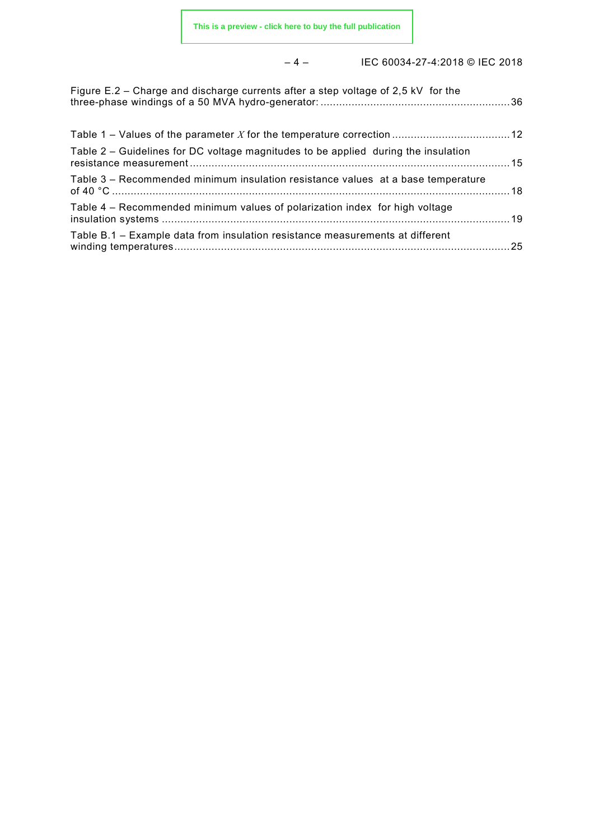– 4 – IEC 60034-27-4:2018 © IEC 2018

| Figure E.2 – Charge and discharge currents after a step voltage of 2,5 kV for the  |  |
|------------------------------------------------------------------------------------|--|
|                                                                                    |  |
| Table 2 – Guidelines for DC voltage magnitudes to be applied during the insulation |  |
| Table 3 – Recommended minimum insulation resistance values at a base temperature   |  |
| Table 4 – Recommended minimum values of polarization index for high voltage        |  |
| Table B.1 – Example data from insulation resistance measurements at different      |  |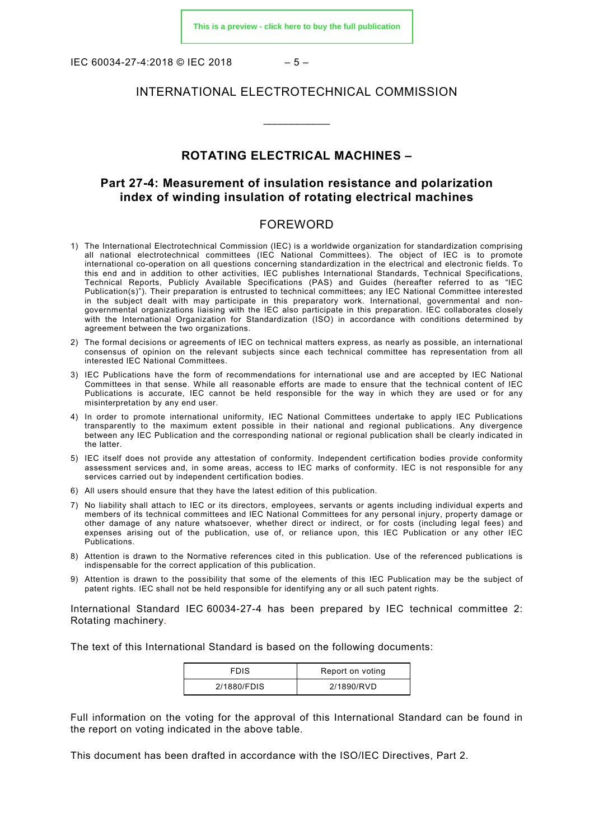IEC 60034-27-4:2018 © IEC 2018 – 5 –

#### INTERNATIONAL ELECTROTECHNICAL COMMISSION

\_\_\_\_\_\_\_\_\_\_\_\_

# **ROTATING ELECTRICAL MACHINES –**

# **Part 27-4: Measurement of insulation resistance and polarization index of winding insulation of rotating electrical machines**

#### FOREWORD

- <span id="page-4-0"></span>1) The International Electrotechnical Commission (IEC) is a worldwide organization for standardization comprising all national electrotechnical committees (IEC National Committees). The object of IEC is to promote international co-operation on all questions concerning standardization in the electrical and electronic fields. To this end and in addition to other activities, IEC publishes International Standards, Technical Specifications, Technical Reports, Publicly Available Specifications (PAS) and Guides (hereafter referred to as "IEC Publication(s)"). Their preparation is entrusted to technical committees; any IEC National Committee interested in the subject dealt with may participate in this preparatory work. International, governmental and nongovernmental organizations liaising with the IEC also participate in this preparation. IEC collaborates closely with the International Organization for Standardization (ISO) in accordance with conditions determined by agreement between the two organizations.
- 2) The formal decisions or agreements of IEC on technical matters express, as nearly as possible, an international consensus of opinion on the relevant subjects since each technical committee has representation from all interested IEC National Committees.
- 3) IEC Publications have the form of recommendations for international use and are accepted by IEC National Committees in that sense. While all reasonable efforts are made to ensure that the technical content of IEC Publications is accurate, IEC cannot be held responsible for the way in which they are used or for any misinterpretation by any end user.
- 4) In order to promote international uniformity, IEC National Committees undertake to apply IEC Publications transparently to the maximum extent possible in their national and regional publications. Any divergence between any IEC Publication and the corresponding national or regional publication shall be clearly indicated in the latter.
- 5) IEC itself does not provide any attestation of conformity. Independent certification bodies provide conformity assessment services and, in some areas, access to IEC marks of conformity. IEC is not responsible for any services carried out by independent certification bodies.
- 6) All users should ensure that they have the latest edition of this publication.
- 7) No liability shall attach to IEC or its directors, employees, servants or agents including individual experts and members of its technical committees and IEC National Committees for any personal injury, property damage or other damage of any nature whatsoever, whether direct or indirect, or for costs (including legal fees) and expenses arising out of the publication, use of, or reliance upon, this IEC Publication or any other IEC Publications.
- 8) Attention is drawn to the Normative references cited in this publication. Use of the referenced publications is indispensable for the correct application of this publication.
- 9) Attention is drawn to the possibility that some of the elements of this IEC Publication may be the subject of patent rights. IEC shall not be held responsible for identifying any or all such patent rights.

International Standard IEC 60034-27-4 has been prepared by IEC technical committee 2: Rotating machinery.

The text of this International Standard is based on the following documents:

| <b>FDIS</b> | Report on voting |
|-------------|------------------|
| 2/1880/FDIS | 2/1890/RVD       |

Full information on the voting for the approval of this International Standard can be found in the report on voting indicated in the above table.

This document has been drafted in accordance with the ISO/IEC Directives, Part 2.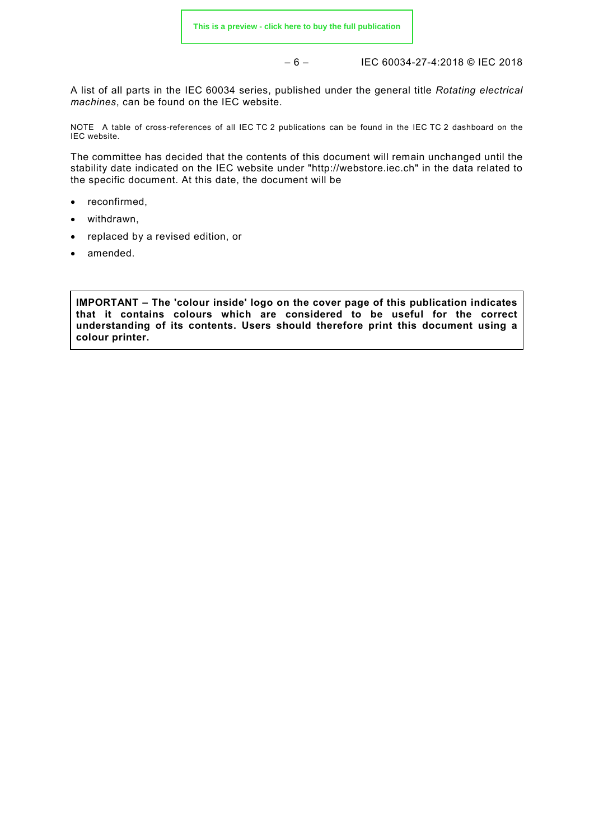– 6 – IEC 60034-27-4:2018 © IEC 2018

A list of all parts in the IEC 60034 series, published under the general title *Rotating electrical machines*, can be found on the IEC website.

NOTE A table of cross-references of all IEC TC 2 publications can be found in the IEC TC 2 dashboard on the IEC website.

The committee has decided that the contents of this document will remain unchanged until the stability date indicated on the IEC website under "http://webstore.iec.ch" in the data related to the specific document. At this date, the document will be

- reconfirmed,
- withdrawn,
- replaced by a revised edition, or
- amended.

**IMPORTANT – The 'colour inside' logo on the cover page of this publication indicates that it contains colours which are considered to be useful for the correct understanding of its contents. Users should therefore print this document using a colour printer.**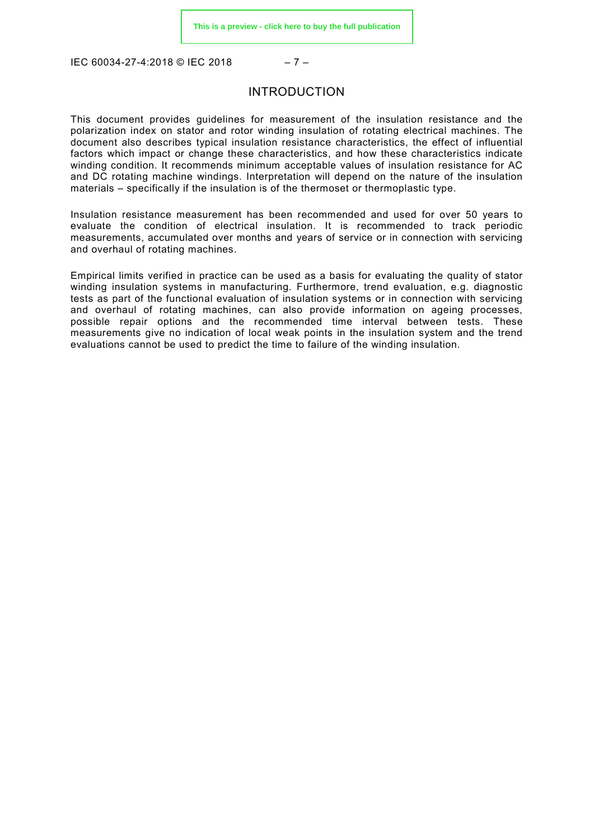<span id="page-6-0"></span>IEC 60034-27-4:2018 © IEC 2018 – 7 –

# INTRODUCTION

This document provides guidelines for measurement of the insulation resistance and the polarization index on stator and rotor winding insulation of rotating electrical machines. The document also describes typical insulation resistance characteristics, the effect of influential factors which impact or change these characteristics, and how these characteristics indicate winding condition. It recommends minimum acceptable values of insulation resistance for AC and DC rotating machine windings. Interpretation will depend on the nature of the insulation materials – specifically if the insulation is of the thermoset or thermoplastic type.

Insulation resistance measurement has been recommended and used for over 50 years to evaluate the condition of electrical insulation. It is recommended to track periodic measurements, accumulated over months and years of service or in connection with servicing and overhaul of rotating machines.

Empirical limits verified in practice can be used as a basis for evaluating the quality of stator winding insulation systems in manufacturing. Furthermore, trend evaluation, e.g. diagnostic tests as part of the functional evaluation of insulation systems or in connection with servicing and overhaul of rotating machines, can also provide information on ageing processes, possible repair options and the recommended time interval between tests. These measurements give no indication of local weak points in the insulation system and the trend evaluations cannot be used to predict the time to failure of the winding insulation.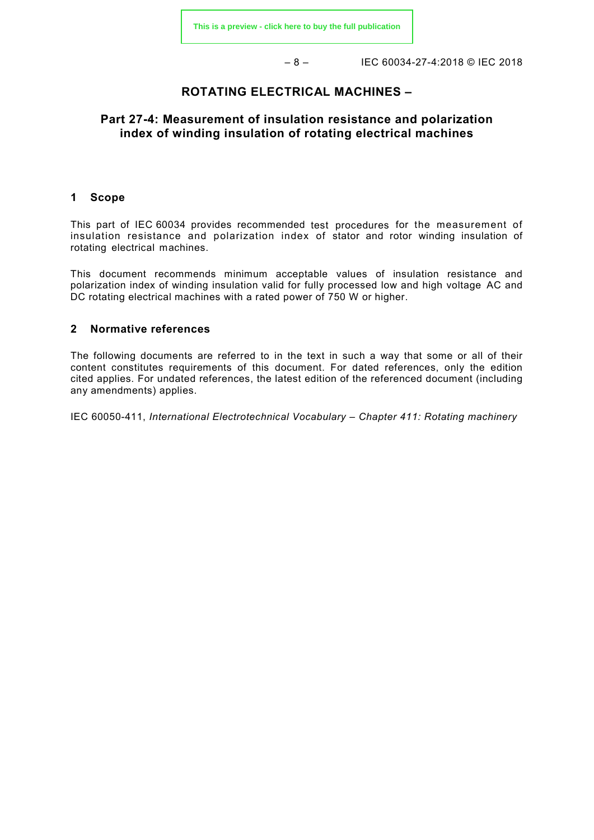$-8 -$  IEC 60034-27-4:2018 © IEC 2018

# **ROTATING ELECTRICAL MACHINES –**

# **Part 27-4: Measurement of insulation resistance and polarization index of winding insulation of rotating electrical machines**

#### <span id="page-7-0"></span>**1 Scope**

This part of IEC 60034 provides recommended test procedures for the measurement of insulation resistance and polarization index of stator and rotor winding insulation of rotating electrical machines.

This document recommends minimum acceptable values of insulation resistance and polarization index of winding insulation valid for fully processed low and high voltage AC and DC rotating electrical machines with a rated power of 750 W or higher.

#### <span id="page-7-1"></span>**2 Normative references**

The following documents are referred to in the text in such a way that some or all of their content constitutes requirements of this document. For dated references, only the edition cited applies. For undated references, the latest edition of the referenced document (including any amendments) applies.

<span id="page-7-2"></span>IEC 60050-411, *International Electrotechnical Vocabulary – Chapter 411: Rotating machinery*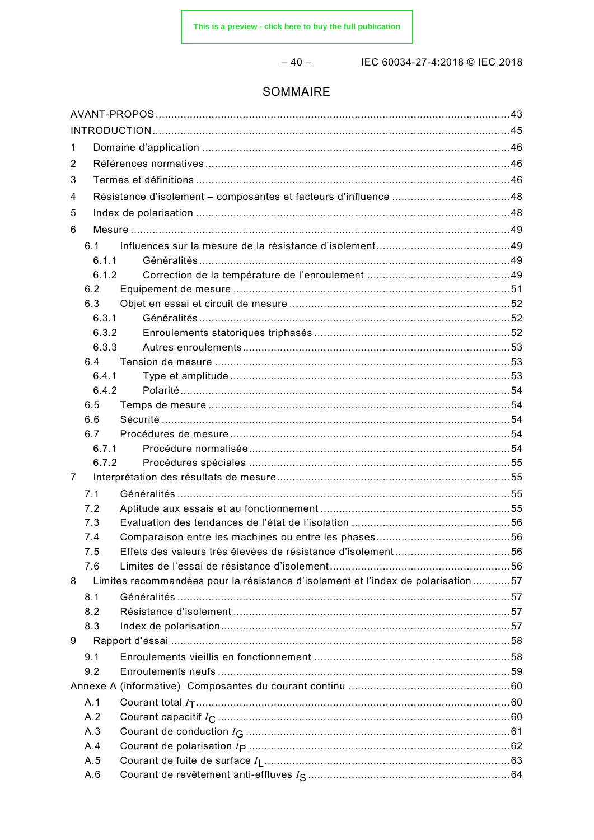$-40-$ 

IEC 60034-27-4:2018 © IEC 2018

# SOMMAIRE

| 1 |            |                                                                                  |  |
|---|------------|----------------------------------------------------------------------------------|--|
| 2 |            |                                                                                  |  |
| 3 |            |                                                                                  |  |
| 4 |            |                                                                                  |  |
| 5 |            |                                                                                  |  |
| 6 |            |                                                                                  |  |
|   | 6.1        |                                                                                  |  |
|   | 6.1.1      |                                                                                  |  |
|   | 6.1.2      |                                                                                  |  |
|   | 6.2        |                                                                                  |  |
|   | 6.3        |                                                                                  |  |
|   | 6.3.1      |                                                                                  |  |
|   | 6.3.2      |                                                                                  |  |
|   | 6.3.3      |                                                                                  |  |
|   | 6.4        |                                                                                  |  |
|   | 6.4.1      |                                                                                  |  |
|   | 6.4.2      |                                                                                  |  |
|   | 6.5        |                                                                                  |  |
|   | 6.6        |                                                                                  |  |
|   | 6.7        |                                                                                  |  |
|   | 6.7.1      |                                                                                  |  |
|   | 6.7.2      |                                                                                  |  |
| 7 |            |                                                                                  |  |
|   | 7.1        |                                                                                  |  |
|   | 7.2        |                                                                                  |  |
|   | 7.3        |                                                                                  |  |
|   | 7.4        |                                                                                  |  |
|   | 7.5        |                                                                                  |  |
| 8 | 7.6        | Limites recommandées pour la résistance d'isolement et l'index de polarisation57 |  |
|   |            |                                                                                  |  |
|   | 8.1<br>8.2 |                                                                                  |  |
|   | 8.3        |                                                                                  |  |
| 9 |            |                                                                                  |  |
|   | 9.1        |                                                                                  |  |
|   | 9.2        |                                                                                  |  |
|   |            |                                                                                  |  |
|   | A.1        |                                                                                  |  |
|   | A.2        |                                                                                  |  |
|   | A.3        |                                                                                  |  |
|   | A.4        |                                                                                  |  |
|   | A.5        |                                                                                  |  |
|   | A.6        |                                                                                  |  |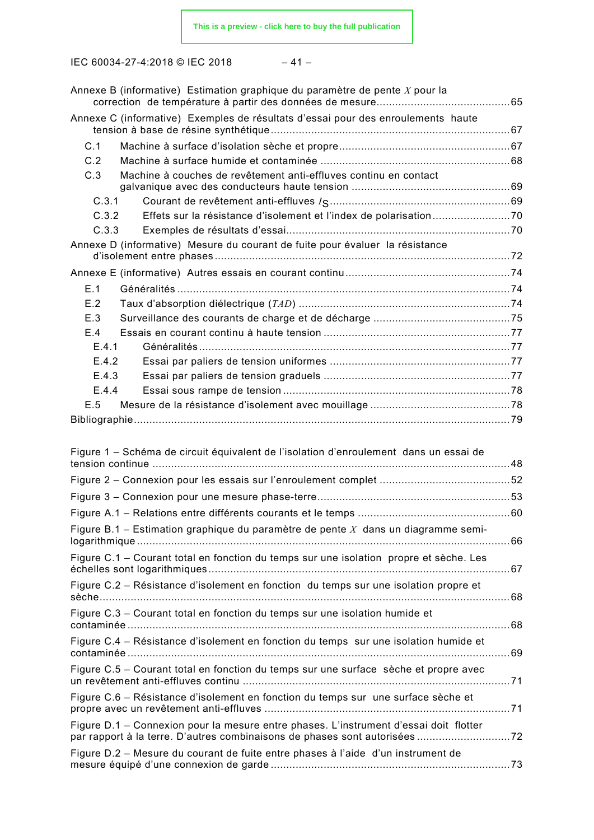IEC 60034-27-4:2018 © IEC 2018

$$
-41-
$$

|       | Annexe B (informative) Estimation graphique du paramètre de pente $X$ pour la          |  |
|-------|----------------------------------------------------------------------------------------|--|
|       | Annexe C (informative) Exemples de résultats d'essai pour des enroulements haute       |  |
| C.1   |                                                                                        |  |
| C.2   |                                                                                        |  |
| C.3   | Machine à couches de revêtement anti-effluves continu en contact                       |  |
|       |                                                                                        |  |
| C.3.1 |                                                                                        |  |
| C.3.2 |                                                                                        |  |
| C.3.3 |                                                                                        |  |
|       | Annexe D (informative) Mesure du courant de fuite pour évaluer la résistance           |  |
|       |                                                                                        |  |
| E.1   |                                                                                        |  |
| E.2   |                                                                                        |  |
| E.3   |                                                                                        |  |
| E.4   |                                                                                        |  |
| E.4.1 |                                                                                        |  |
| E.4.2 |                                                                                        |  |
| E.4.3 |                                                                                        |  |
| E.4.4 |                                                                                        |  |
| E.5   |                                                                                        |  |
|       |                                                                                        |  |
|       | Figure 1 - Schéma de circuit équivalent de l'isolation d'enroulement dans un essai de  |  |
|       |                                                                                        |  |
|       |                                                                                        |  |
|       |                                                                                        |  |
|       | Figure B.1 – Estimation graphique du paramètre de pente $X$ dans un diagramme semi-    |  |
|       | Figure C.1 - Courant total en fonction du temps sur une isolation propre et sèche. Les |  |
|       | Figure C.2 - Résistance d'isolement en fonction du temps sur une isolation propre et   |  |
|       | Figure C.3 - Courant total en fonction du temps sur une isolation humide et            |  |
|       | Figure C.4 - Résistance d'isolement en fonction du temps sur une isolation humide et   |  |
|       | Figure C.5 – Courant total en fonction du temps sur une surface sèche et propre avec   |  |
|       | Figure C.6 - Résistance d'isolement en fonction du temps sur une surface sèche et      |  |
|       | Figure D.1 - Connexion pour la mesure entre phases. L'instrument d'essai doit flotter  |  |
|       | Figure D.2 – Mesure du courant de fuite entre phases à l'aide d'un instrument de       |  |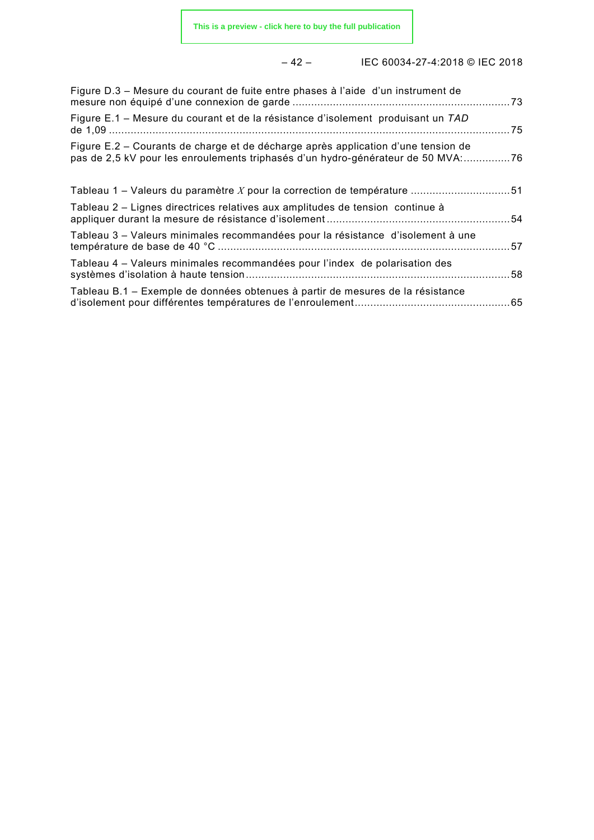# – 42 – IEC 60034-27-4:2018 © IEC 2018

| Figure D.3 – Mesure du courant de fuite entre phases à l'aide d'un instrument de                                                                                       |  |
|------------------------------------------------------------------------------------------------------------------------------------------------------------------------|--|
| Figure E.1 – Mesure du courant et de la résistance d'isolement produisant un TAD                                                                                       |  |
| Figure E.2 – Courants de charge et de décharge après application d'une tension de<br>pas de 2,5 kV pour les enroulements triphasés d'un hydro-générateur de 50 MVA: 76 |  |
| Tableau 1 – Valeurs du paramètre X pour la correction de température 51                                                                                                |  |
| Tableau 2 – Lignes directrices relatives aux amplitudes de tension continue à                                                                                          |  |
| Tableau 3 – Valeurs minimales recommandées pour la résistance d'isolement à une                                                                                        |  |
| Tableau 4 – Valeurs minimales recommandées pour l'index de polarisation des                                                                                            |  |
| Tableau B.1 - Exemple de données obtenues à partir de mesures de la résistance                                                                                         |  |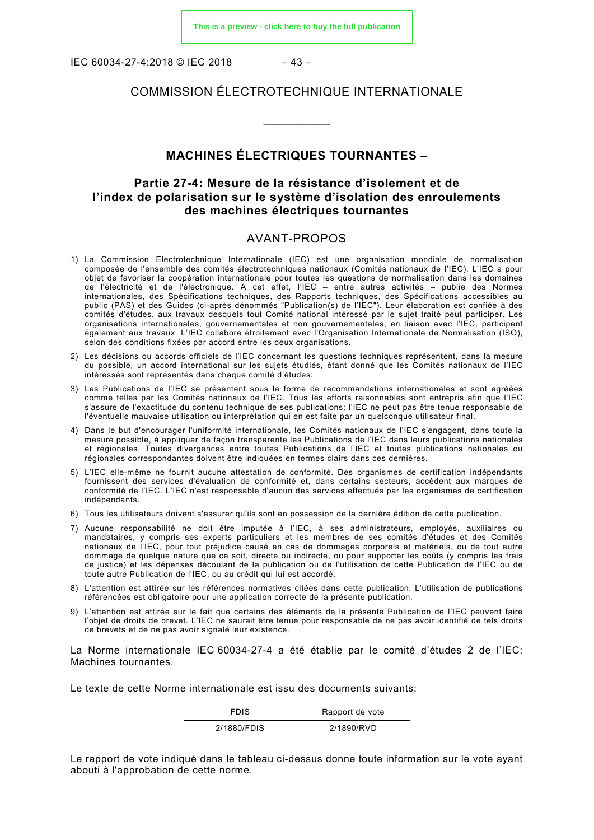IEC 60034-27-4:2018 © IEC 2018 – 43 –

# COMMISSION ÉLECTROTECHNIQUE INTERNATIONALE

\_\_\_\_\_\_\_\_\_\_\_\_

# **MACHINES ÉLECTRIQUES TOURNANTES –**

# **Partie 27-4: Mesure de la résistance d'isolement et de l'index de polarisation sur le système d'isolation des enroulements des machines électriques tournantes**

# AVANT-PROPOS

- <span id="page-11-0"></span>1) La Commission Electrotechnique Internationale (IEC) est une organisation mondiale de normalisation composée de l'ensemble des comités électrotechniques nationaux (Comités nationaux de l'IEC). L'IEC a pour objet de favoriser la coopération internationale pour toutes les questions de normalisation dans les domaines de l'électricité et de l'électronique. A cet effet, l'IEC – entre autres activités – publie des Normes internationales, des Spécifications techniques, des Rapports techniques, des Spécifications accessibles au public (PAS) et des Guides (ci-après dénommés "Publication(s) de l'IEC"). Leur élaboration est confiée à des comités d'études, aux travaux desquels tout Comité national intéressé par le sujet traité peut participer. Les organisations internationales, gouvernementales et non gouvernementales, en liaison avec l'IEC, participent également aux travaux. L'IEC collabore étroitement avec l'Organisation Internationale de Normalisation (ISO), selon des conditions fixées par accord entre les deux organisations.
- 2) Les décisions ou accords officiels de l'IEC concernant les questions techniques représentent, dans la mesure du possible, un accord international sur les sujets étudiés, étant donné que les Comités nationaux de l'IEC intéressés sont représentés dans chaque comité d'études.
- 3) Les Publications de l'IEC se présentent sous la forme de recommandations internationales et sont agréées comme telles par les Comités nationaux de l'IEC. Tous les efforts raisonnables sont entrepris afin que l'IEC s'assure de l'exactitude du contenu technique de ses publications; l'IEC ne peut pas être tenue responsable de l'éventuelle mauvaise utilisation ou interprétation qui en est faite par un quelconque utilisateur final.
- 4) Dans le but d'encourager l'uniformité internationale, les Comités nationaux de l'IEC s'engagent, dans toute la mesure possible, à appliquer de façon transparente les Publications de l'IEC dans leurs publications nationales et régionales. Toutes divergences entre toutes Publications de l'IEC et toutes publications nationales ou régionales correspondantes doivent être indiquées en termes clairs dans ces dernières.
- 5) L'IEC elle-même ne fournit aucune attestation de conformité. Des organismes de certification indépendants fournissent des services d'évaluation de conformité et, dans certains secteurs, accèdent aux marques de conformité de l'IEC. L'IEC n'est responsable d'aucun des services effectués par les organismes de certification indépendants.
- 6) Tous les utilisateurs doivent s'assurer qu'ils sont en possession de la dernière édition de cette publication.
- 7) Aucune responsabilité ne doit être imputée à l'IEC, à ses administrateurs, employés, auxiliaires ou mandataires, y compris ses experts particuliers et les membres de ses comités d'études et des Comités nationaux de l'IEC, pour tout préjudice causé en cas de dommages corporels et matériels, ou de tout autre dommage de quelque nature que ce soit, directe ou indirecte, ou pour supporter les coûts (y compris les frais de justice) et les dépenses découlant de la publication ou de l'utilisation de cette Publication de l'IEC ou de toute autre Publication de l'IEC, ou au crédit qui lui est accordé.
- 8) L'attention est attirée sur les références normatives citées dans cette publication. L'utilisation de publications référencées est obligatoire pour une application correcte de la présente publication.
- 9) L'attention est attirée sur le fait que certains des éléments de la présente Publication de l'IEC peuvent faire l'objet de droits de brevet. L'IEC ne saurait être tenue pour responsable de ne pas avoir identifié de tels droits de brevets et de ne pas avoir signalé leur existence.

La Norme internationale IEC 60034-27-4 a été établie par le comité d'études 2 de l'IEC: Machines tournantes.

Le texte de cette Norme internationale est issu des documents suivants:

| <b>FDIS</b> | Rapport de vote |
|-------------|-----------------|
| 2/1880/FDIS | 2/1890/RVD      |

Le rapport de vote indiqué dans le tableau ci-dessus donne toute information sur le vote ayant abouti à l'approbation de cette norme.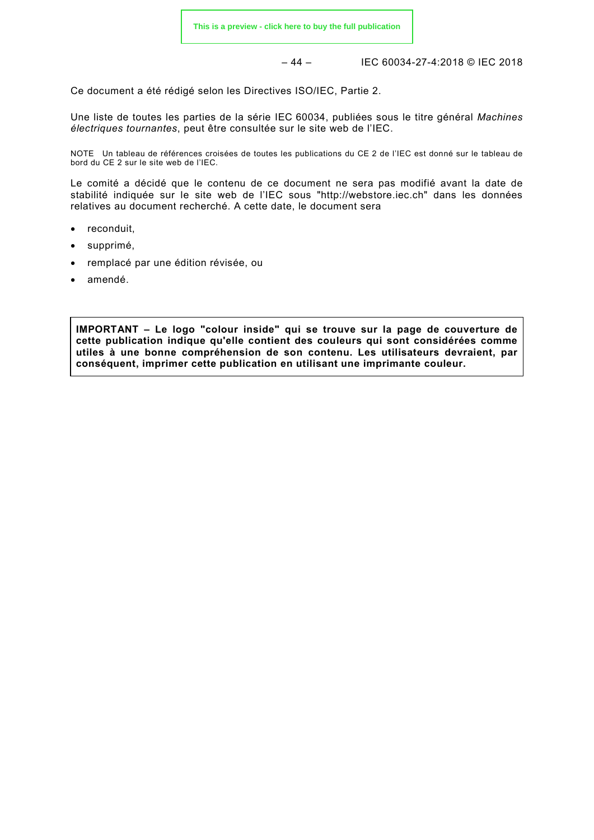– 44 – IEC 60034-27-4:2018 © IEC 2018

Ce document a été rédigé selon les Directives ISO/IEC, Partie 2.

Une liste de toutes les parties de la série IEC 60034, publiées sous le titre général *Machines électriques tournantes*, peut être consultée sur le site web de l'IEC.

NOTE Un tableau de références croisées de toutes les publications du CE 2 de l'IEC est donné sur le tableau de bord du CE 2 sur le site web de l'IEC.

Le comité a décidé que le contenu de ce document ne sera pas modifié avant la date de stabilité indiquée sur le site web de l'IEC sous "http://webstore.iec.ch" dans les données relatives au document recherché. A cette date, le document sera

- reconduit,
- supprimé,
- remplacé par une édition révisée, ou
- amendé.

**IMPORTANT – Le logo "colour inside" qui se trouve sur la page de couverture de cette publication indique qu'elle contient des couleurs qui sont considérées comme utiles à une bonne compréhension de son contenu. Les utilisateurs devraient, par conséquent, imprimer cette publication en utilisant une imprimante couleur.**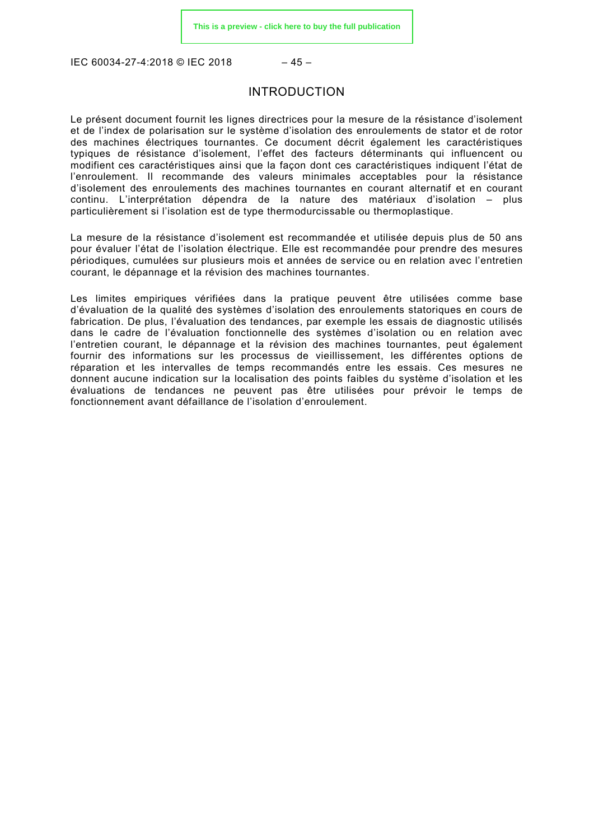<span id="page-13-0"></span>IEC 60034-27-4:2018 © IEC 2018 – 45 –

# INTRODUCTION

Le présent document fournit les lignes directrices pour la mesure de la résistance d'isolement et de l'index de polarisation sur le système d'isolation des enroulements de stator et de rotor des machines électriques tournantes. Ce document décrit également les caractéristiques typiques de résistance d'isolement, l'effet des facteurs déterminants qui influencent ou modifient ces caractéristiques ainsi que la façon dont ces caractéristiques indiquent l'état de l'enroulement. Il recommande des valeurs minimales acceptables pour la résistance d'isolement des enroulements des machines tournantes en courant alternatif et en courant continu. L'interprétation dépendra de la nature des matériaux d'isolation – plus particulièrement si l'isolation est de type thermodurcissable ou thermoplastique.

La mesure de la résistance d'isolement est recommandée et utilisée depuis plus de 50 ans pour évaluer l'état de l'isolation électrique. Elle est recommandée pour prendre des mesures périodiques, cumulées sur plusieurs mois et années de service ou en relation avec l'entretien courant, le dépannage et la révision des machines tournantes.

Les limites empiriques vérifiées dans la pratique peuvent être utilisées comme base d'évaluation de la qualité des systèmes d'isolation des enroulements statoriques en cours de fabrication. De plus, l'évaluation des tendances, par exemple les essais de diagnostic utilisés dans le cadre de l'évaluation fonctionnelle des systèmes d'isolation ou en relation avec l'entretien courant, le dépannage et la révision des machines tournantes, peut également fournir des informations sur les processus de vieillissement, les différentes options de réparation et les intervalles de temps recommandés entre les essais. Ces mesures ne donnent aucune indication sur la localisation des points faibles du système d'isolation et les évaluations de tendances ne peuvent pas être utilisées pour prévoir le temps de fonctionnement avant défaillance de l'isolation d'enroulement.